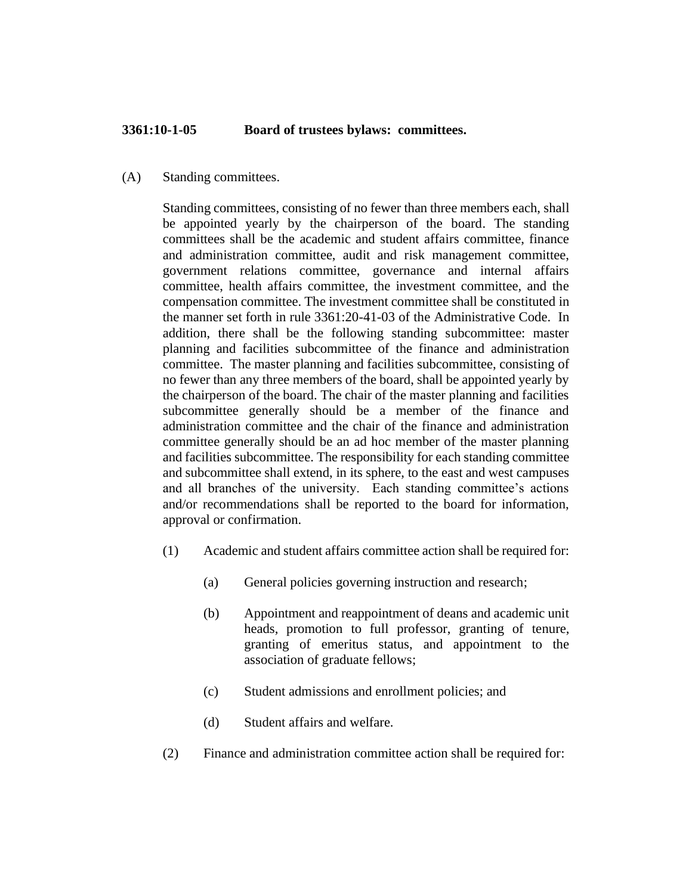## **3361:10-1-05 Board of trustees bylaws: committees.**

## (A) Standing committees.

Standing committees, consisting of no fewer than three members each, shall be appointed yearly by the chairperson of the board. The standing committees shall be the academic and student affairs committee, finance and administration committee, audit and risk management committee, government relations committee, governance and internal affairs committee, health affairs committee, the investment committee, and the compensation committee. The investment committee shall be constituted in the manner set forth in rule 3361:20-41-03 of the Administrative Code. In addition, there shall be the following standing subcommittee: master planning and facilities subcommittee of the finance and administration committee. The master planning and facilities subcommittee, consisting of no fewer than any three members of the board, shall be appointed yearly by the chairperson of the board. The chair of the master planning and facilities subcommittee generally should be a member of the finance and administration committee and the chair of the finance and administration committee generally should be an ad hoc member of the master planning and facilities subcommittee. The responsibility for each standing committee and subcommittee shall extend, in its sphere, to the east and west campuses and all branches of the university. Each standing committee's actions and/or recommendations shall be reported to the board for information, approval or confirmation.

- (1) Academic and student affairs committee action shall be required for:
	- (a) General policies governing instruction and research;
	- (b) Appointment and reappointment of deans and academic unit heads, promotion to full professor, granting of tenure, granting of emeritus status, and appointment to the association of graduate fellows;
	- (c) Student admissions and enrollment policies; and
	- (d) Student affairs and welfare.
- (2) Finance and administration committee action shall be required for: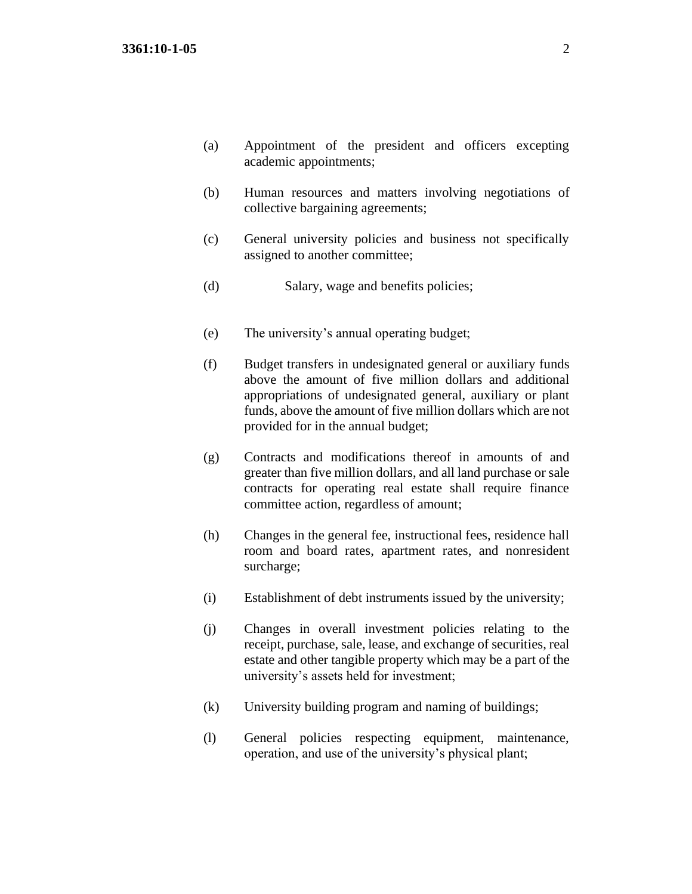- (a) Appointment of the president and officers excepting academic appointments;
- (b) Human resources and matters involving negotiations of collective bargaining agreements;
- (c) General university policies and business not specifically assigned to another committee;
- (d) Salary, wage and benefits policies;
- (e) The university's annual operating budget;
- (f) Budget transfers in undesignated general or auxiliary funds above the amount of five million dollars and additional appropriations of undesignated general, auxiliary or plant funds, above the amount of five million dollars which are not provided for in the annual budget;
- (g) Contracts and modifications thereof in amounts of and greater than five million dollars, and all land purchase or sale contracts for operating real estate shall require finance committee action, regardless of amount;
- (h) Changes in the general fee, instructional fees, residence hall room and board rates, apartment rates, and nonresident surcharge;
- (i) Establishment of debt instruments issued by the university;
- (j) Changes in overall investment policies relating to the receipt, purchase, sale, lease, and exchange of securities, real estate and other tangible property which may be a part of the university's assets held for investment;
- (k) University building program and naming of buildings;
- (l) General policies respecting equipment, maintenance, operation, and use of the university's physical plant;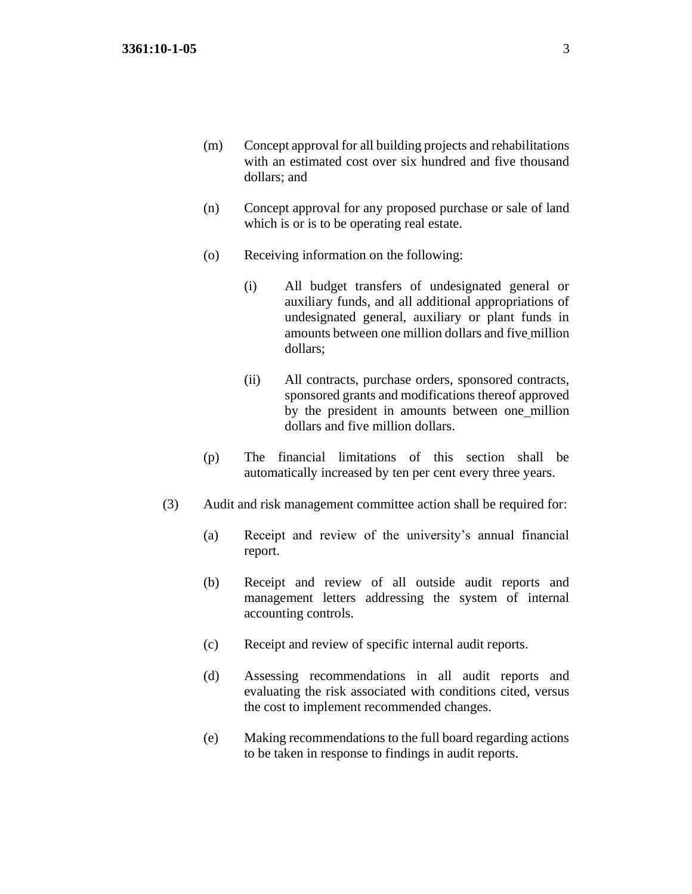- (m) Concept approval for all building projects and rehabilitations with an estimated cost over six hundred and five thousand dollars; and
- (n) Concept approval for any proposed purchase or sale of land which is or is to be operating real estate.
- (o) Receiving information on the following:
	- (i) All budget transfers of undesignated general or auxiliary funds, and all additional appropriations of undesignated general, auxiliary or plant funds in amounts between one million dollars and five million dollars;
	- (ii) All contracts, purchase orders, sponsored contracts, sponsored grants and modifications thereof approved by the president in amounts between one million dollars and five million dollars.
- (p) The financial limitations of this section shall be automatically increased by ten per cent every three years.
- (3) Audit and risk management committee action shall be required for:
	- (a) Receipt and review of the university's annual financial report.
	- (b) Receipt and review of all outside audit reports and management letters addressing the system of internal accounting controls.
	- (c) Receipt and review of specific internal audit reports.
	- (d) Assessing recommendations in all audit reports and evaluating the risk associated with conditions cited, versus the cost to implement recommended changes.
	- (e) Making recommendations to the full board regarding actions to be taken in response to findings in audit reports.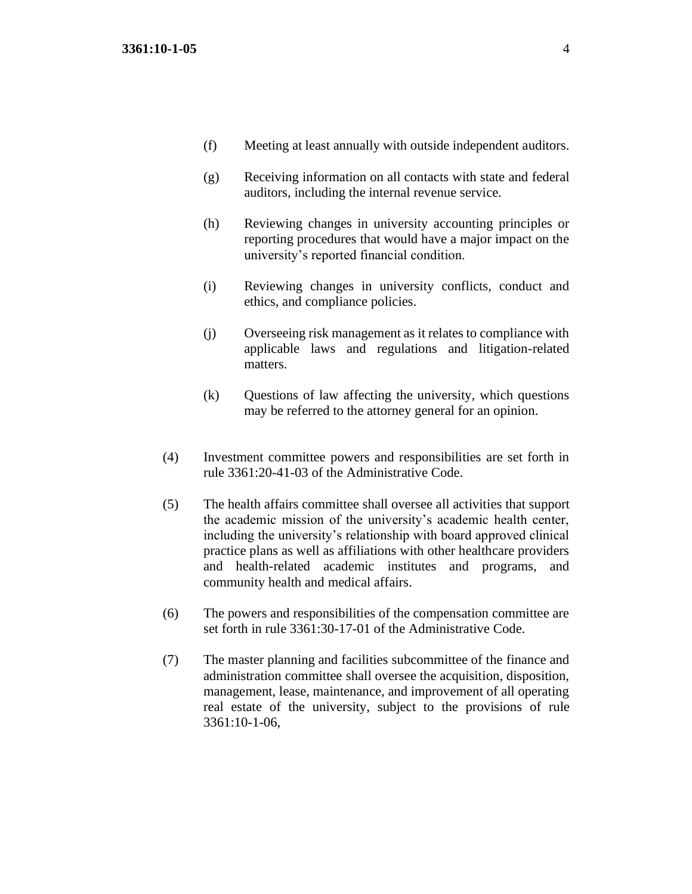- (f) Meeting at least annually with outside independent auditors.
- (g) Receiving information on all contacts with state and federal auditors, including the internal revenue service.
- (h) Reviewing changes in university accounting principles or reporting procedures that would have a major impact on the university's reported financial condition.
- (i) Reviewing changes in university conflicts, conduct and ethics, and compliance policies.
- (j) Overseeing risk management as it relates to compliance with applicable laws and regulations and litigation-related matters.
- (k) Questions of law affecting the university, which questions may be referred to the attorney general for an opinion.
- (4) Investment committee powers and responsibilities are set forth in rule 3361:20-41-03 of the Administrative Code.
- (5) The health affairs committee shall oversee all activities that support the academic mission of the university's academic health center, including the university's relationship with board approved clinical practice plans as well as affiliations with other healthcare providers and health-related academic institutes and programs, and community health and medical affairs.
- (6) The powers and responsibilities of the compensation committee are set forth in rule 3361:30-17-01 of the Administrative Code.
- (7) The master planning and facilities subcommittee of the finance and administration committee shall oversee the acquisition, disposition, management, lease, maintenance, and improvement of all operating real estate of the university, subject to the provisions of rule 3361:10-1-06,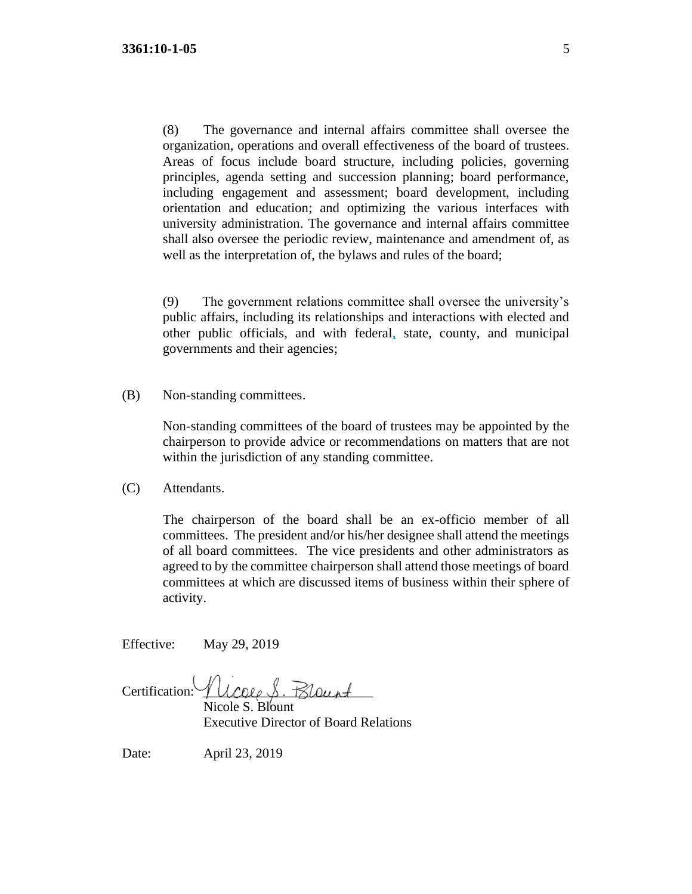(8) The governance and internal affairs committee shall oversee the organization, operations and overall effectiveness of the board of trustees. Areas of focus include board structure, including policies, governing principles, agenda setting and succession planning; board performance, including engagement and assessment; board development, including orientation and education; and optimizing the various interfaces with university administration. The governance and internal affairs committee shall also oversee the periodic review, maintenance and amendment of, as well as the interpretation of, the bylaws and rules of the board;

(9) The government relations committee shall oversee the university's public affairs, including its relationships and interactions with elected and other public officials, and with federal, state, county, and municipal governments and their agencies;

(B) Non-standing committees.

Non-standing committees of the board of trustees may be appointed by the chairperson to provide advice or recommendations on matters that are not within the jurisdiction of any standing committee.

(C) Attendants.

The chairperson of the board shall be an ex-officio member of all committees. The president and/or his/her designee shall attend the meetings of all board committees. The vice presidents and other administrators as agreed to by the committee chairperson shall attend those meetings of board committees at which are discussed items of business within their sphere of activity.

Effective: May 29, 2019

Certification: Ulcole S. Blount

Nicole S. Blount Executive Director of Board Relations

Date: April 23, 2019